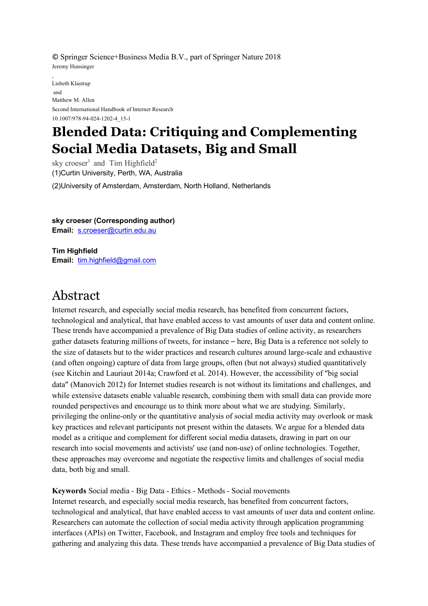© Springer Science+Business Media B.V., part of Springer Nature 2018 Jeremy Hunsinger

, Lisbeth Klastrup and Matthew M. Allen Second International Handbook of Internet Research 10.1007/978-94-024-1202-4\_15-1

# **Blended Data: Critiquing and Complementing Social Media Datasets, Big and Small**

sky croeser<sup>1</sup> and Tim Highfield<sup>2</sup> (1)Curtin University, Perth, WA, Australia

(2)University of Amsterdam, Amsterdam, North Holland, Netherlands

**sky croeser (Corresponding author) Email:** s.croeser@curtin.edu.au

**Tim Highfield Email:** tim.highfield@gmail.com

### Abstract

Internet research, and especially social media research, has benefited from concurrent factors, technological and analytical, that have enabled access to vast amounts of user data and content online. These trends have accompanied a prevalence of Big Data studies of online activity, as researchers gather datasets featuring millions of tweets, for instance – here, Big Data is a reference not solely to the size of datasets but to the wider practices and research cultures around large-scale and exhaustive (and often ongoing) capture of data from large groups, often (but not always) studied quantitatively (see Kitchin and Lauriaut 2014a; Crawford et al. 2014). However, the accessibility of "big social data" (Manovich 2012) for Internet studies research is not without its limitations and challenges, and while extensive datasets enable valuable research, combining them with small data can provide more rounded perspectives and encourage us to think more about what we are studying. Similarly, privileging the online-only or the quantitative analysis of social media activity may overlook or mask key practices and relevant participants not present within the datasets. We argue for a blended data model as a critique and complement for different social media datasets, drawing in part on our research into social movements and activists' use (and non-use) of online technologies. Together, these approaches may overcome and negotiate the respective limits and challenges of social media data, both big and small.

**Keywords** Social media - Big Data - Ethics - Methods - Social movements

Internet research, and especially social media research, has benefited from concurrent factors, technological and analytical, that have enabled access to vast amounts of user data and content online. Researchers can automate the collection of social media activity through application programming interfaces (APIs) on Twitter, Facebook, and Instagram and employ free tools and techniques for gathering and analyzing this data. These trends have accompanied a prevalence of Big Data studies of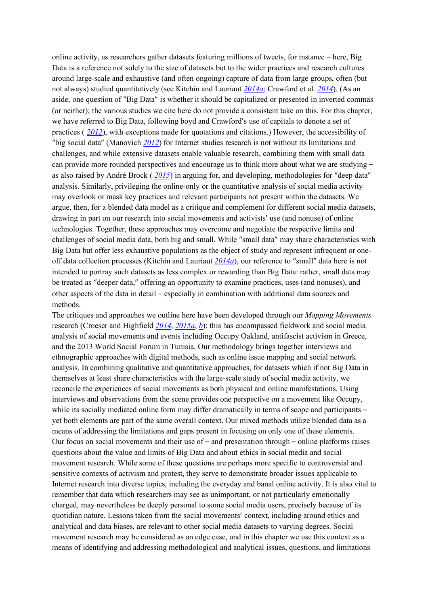online activity, as researchers gather datasets featuring millions of tweets, for instance – here, Big Data is a reference not solely to the size of datasets but to the wider practices and research cultures around large-scale and exhaustive (and often ongoing) capture of data from large groups, often (but not always) studied quantitatively (see Kitchin and Lauriaut *2014a*; Crawford et al. *2014*). (As an aside, one question of "Big Data" is whether it should be capitalized or presented in inverted commas (or neither); the various studies we cite here do not provide a consistent take on this. For this chapter, we have referred to Big Data, following boyd and Crawford's use of capitals to denote a set of practices ( *2012*), with exceptions made for quotations and citations.) However, the accessibility of "big social data" (Manovich *2012*) for Internet studies research is not without its limitations and challenges, and while extensive datasets enable valuable research, combining them with small data can provide more rounded perspectives and encourage us to think more about what we are studying – as also raised by André Brock ( *2015*) in arguing for, and developing, methodologies for "deep data" analysis. Similarly, privileging the online-only or the quantitative analysis of social media activity may overlook or mask key practices and relevant participants not present within the datasets. We argue, then, for a blended data model as a critique and complement for different social media datasets, drawing in part on our research into social movements and activists' use (and nonuse) of online technologies. Together, these approaches may overcome and negotiate the respective limits and challenges of social media data, both big and small. While "small data" may share characteristics with Big Data but offer less exhaustive populations as the object of study and represent infrequent or oneoff data collection processes (Kitchin and Lauriaut *2014a*), our reference to "small" data here is not intended to portray such datasets as less complex or rewarding than Big Data: rather, small data may be treated as "deeper data," offering an opportunity to examine practices, uses (and nonuses), and other aspects of the data in detail – especially in combination with additional data sources and methods.

The critiques and approaches we outline here have been developed through our *Mapping Movements* research (Croeser and Highfield *2014*, *2015a*, *b*): this has encompassed fieldwork and social media analysis of social movements and events including Occupy Oakland, antifascist activism in Greece, and the 2013 World Social Forum in Tunisia. Our methodology brings together interviews and ethnographic approaches with digital methods, such as online issue mapping and social network analysis. In combining qualitative and quantitative approaches, for datasets which if not Big Data in themselves at least share characteristics with the large-scale study of social media activity, we reconcile the experiences of social movements as both physical and online manifestations. Using interviews and observations from the scene provides one perspective on a movement like Occupy, while its socially mediated online form may differ dramatically in terms of scope and participants – yet both elements are part of the same overall context. Our mixed methods utilize blended data as a means of addressing the limitations and gaps present in focusing on only one of these elements. Our focus on social movements and their use of – and presentation through – online platforms raises questions about the value and limits of Big Data and about ethics in social media and social movement research. While some of these questions are perhaps more specific to controversial and sensitive contexts of activism and protest, they serve to demonstrate broader issues applicable to Internet research into diverse topics, including the everyday and banal online activity. It is also vital to remember that data which researchers may see as unimportant, or not particularly emotionally charged, may nevertheless be deeply personal to some social media users, precisely because of its quotidian nature. Lessons taken from the social movements' context, including around ethics and analytical and data biases, are relevant to other social media datasets to varying degrees. Social movement research may be considered as an edge case, and in this chapter we use this context as a means of identifying and addressing methodological and analytical issues, questions, and limitations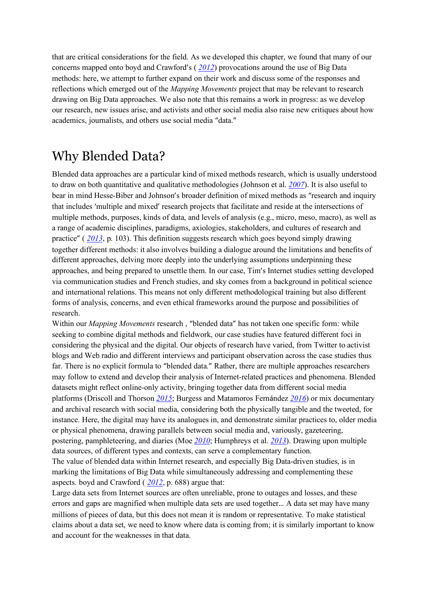that are critical considerations for the field. As we developed this chapter, we found that many of our concerns mapped onto boyd and Crawford's ( *2012*) provocations around the use of Big Data methods: here, we attempt to further expand on their work and discuss some of the responses and reflections which emerged out of the *Mapping Movements* project that may be relevant to research drawing on Big Data approaches. We also note that this remains a work in progress: as we develop our research, new issues arise, and activists and other social media also raise new critiques about how academics, journalists, and others use social media "data."

#### Why Blended Data?

Blended data approaches are a particular kind of mixed methods research, which is usually understood to draw on both quantitative and qualitative methodologies (Johnson et al. *2007*). It is also useful to bear in mind Hesse-Biber and Johnson's broader definition of mixed methods as "research and inquiry that includes 'multiple and mixed' research projects that facilitate and reside at the intersections of multiple methods, purposes, kinds of data, and levels of analysis (e.g., micro, meso, macro), as well as a range of academic disciplines, paradigms, axiologies, stakeholders, and cultures of research and practice" ( *2013*, p. 103). This definition suggests research which goes beyond simply drawing together different methods: it also involves building a dialogue around the limitations and benefits of different approaches, delving more deeply into the underlying assumptions underpinning these approaches, and being prepared to unsettle them. In our case, Tim's Internet studies setting developed via communication studies and French studies, and sky comes from a background in political science and international relations. This means not only different methodological training but also different forms of analysis, concerns, and even ethical frameworks around the purpose and possibilities of research.

Within our *Mapping Movements* research , "blended data" has not taken one specific form: while seeking to combine digital methods and fieldwork, our case studies have featured different foci in considering the physical and the digital. Our objects of research have varied, from Twitter to activist blogs and Web radio and different interviews and participant observation across the case studies thus far. There is no explicit formula to "blended data." Rather, there are multiple approaches researchers may follow to extend and develop their analysis of Internet-related practices and phenomena. Blended datasets might reflect online-only activity, bringing together data from different social media platforms (Driscoll and Thorson *2015*; Burgess and Matamoros Fernández *2016*) or mix documentary and archival research with social media, considering both the physically tangible and the tweeted, for instance. Here, the digital may have its analogues in, and demonstrate similar practices to, older media or physical phenomena, drawing parallels between social media and, variously, gazeteering, postering, pamphleteering, and diaries (Moe *2010*; Humphreys et al. *2013*). Drawing upon multiple data sources, of different types and contexts, can serve a complementary function.

The value of blended data within Internet research, and especially Big Data-driven studies, is in marking the limitations of Big Data while simultaneously addressing and complementing these aspects. boyd and Crawford ( *2012*, p. 688) argue that:

Large data sets from Internet sources are often unreliable, prone to outages and losses, and these errors and gaps are magnified when multiple data sets are used together… A data set may have many millions of pieces of data, but this does not mean it is random or representative. To make statistical claims about a data set, we need to know where data is coming from; it is similarly important to know and account for the weaknesses in that data.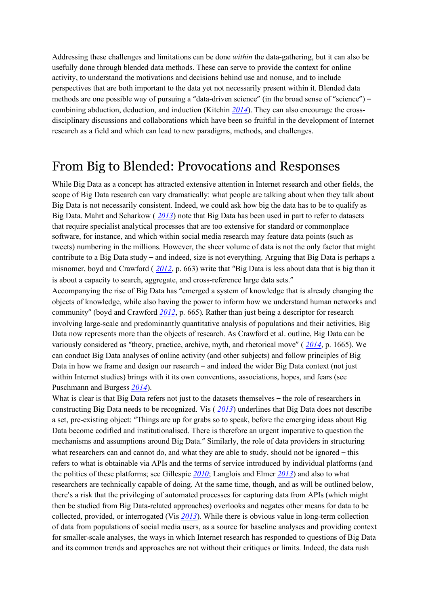Addressing these challenges and limitations can be done *within* the data-gathering, but it can also be usefully done through blended data methods. These can serve to provide the context for online activity, to understand the motivations and decisions behind use and nonuse, and to include perspectives that are both important to the data yet not necessarily present within it. Blended data methods are one possible way of pursuing a "data-driven science" (in the broad sense of "science") – combining abduction, deduction, and induction (Kitchin *2014*). They can also encourage the crossdisciplinary discussions and collaborations which have been so fruitful in the development of Internet research as a field and which can lead to new paradigms, methods, and challenges.

#### From Big to Blended: Provocations and Responses

While Big Data as a concept has attracted extensive attention in Internet research and other fields, the scope of Big Data research can vary dramatically: what people are talking about when they talk about Big Data is not necessarily consistent. Indeed, we could ask how big the data has to be to qualify as Big Data. Mahrt and Scharkow ( *2013*) note that Big Data has been used in part to refer to datasets that require specialist analytical processes that are too extensive for standard or commonplace software, for instance, and which within social media research may feature data points (such as tweets) numbering in the millions. However, the sheer volume of data is not the only factor that might contribute to a Big Data study – and indeed, size is not everything. Arguing that Big Data is perhaps a misnomer, boyd and Crawford ( *2012*, p. 663) write that "Big Data is less about data that is big than it is about a capacity to search, aggregate, and cross-reference large data sets."

Accompanying the rise of Big Data has "emerged a system of knowledge that is already changing the objects of knowledge, while also having the power to inform how we understand human networks and community" (boyd and Crawford *2012*, p. 665). Rather than just being a descriptor for research involving large-scale and predominantly quantitative analysis of populations and their activities, Big Data now represents more than the objects of research. As Crawford et al. outline, Big Data can be variously considered as "theory, practice, archive, myth, and rhetorical move" ( *2014*, p. 1665). We can conduct Big Data analyses of online activity (and other subjects) and follow principles of Big Data in how we frame and design our research – and indeed the wider Big Data context (not just within Internet studies) brings with it its own conventions, associations, hopes, and fears (see Puschmann and Burgess *2014*).

What is clear is that Big Data refers not just to the datasets themselves – the role of researchers in constructing Big Data needs to be recognized. Vis ( *2013*) underlines that Big Data does not describe a set, pre-existing object: "Things are up for grabs so to speak, before the emerging ideas about Big Data become codified and institutionalised. There is therefore an urgent imperative to question the mechanisms and assumptions around Big Data." Similarly, the role of data providers in structuring what researchers can and cannot do, and what they are able to study, should not be ignored – this refers to what is obtainable via APIs and the terms of service introduced by individual platforms (and the politics of these platforms; see Gillespie *2010*; Langlois and Elmer *2013*) and also to what researchers are technically capable of doing. At the same time, though, and as will be outlined below, there's a risk that the privileging of automated processes for capturing data from APIs (which might then be studied from Big Data-related approaches) overlooks and negates other means for data to be collected, provided, or interrogated (Vis *2013*). While there is obvious value in long-term collection of data from populations of social media users, as a source for baseline analyses and providing context for smaller-scale analyses, the ways in which Internet research has responded to questions of Big Data and its common trends and approaches are not without their critiques or limits. Indeed, the data rush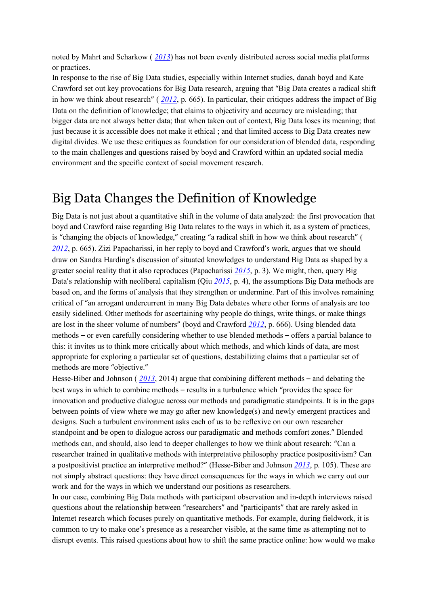noted by Mahrt and Scharkow ( *2013*) has not been evenly distributed across social media platforms or practices.

In response to the rise of Big Data studies, especially within Internet studies, danah boyd and Kate Crawford set out key provocations for Big Data research, arguing that "Big Data creates a radical shift in how we think about research" ( *2012*, p. 665). In particular, their critiques address the impact of Big Data on the definition of knowledge; that claims to objectivity and accuracy are misleading; that bigger data are not always better data; that when taken out of context, Big Data loses its meaning; that just because it is accessible does not make it ethical ; and that limited access to Big Data creates new digital divides. We use these critiques as foundation for our consideration of blended data, responding to the main challenges and questions raised by boyd and Crawford within an updated social media environment and the specific context of social movement research.

## Big Data Changes the Definition of Knowledge

Big Data is not just about a quantitative shift in the volume of data analyzed: the first provocation that boyd and Crawford raise regarding Big Data relates to the ways in which it, as a system of practices, is "changing the objects of knowledge," creating "a radical shift in how we think about research" ( *2012*, p. 665). Zizi Papacharissi, in her reply to boyd and Crawford's work, argues that we should draw on Sandra Harding's discussion of situated knowledges to understand Big Data as shaped by a greater social reality that it also reproduces (Papacharissi *2015*, p. 3). We might, then, query Big Data's relationship with neoliberal capitalism (Qiu  $\frac{2015}{10}$ , p. 4), the assumptions Big Data methods are based on, and the forms of analysis that they strengthen or undermine. Part of this involves remaining critical of "an arrogant undercurrent in many Big Data debates where other forms of analysis are too easily sidelined. Other methods for ascertaining why people do things, write things, or make things are lost in the sheer volume of numbers" (boyd and Crawford *2012*, p. 666). Using blended data methods – or even carefully considering whether to use blended methods – offers a partial balance to this: it invites us to think more critically about which methods, and which kinds of data, are most appropriate for exploring a particular set of questions, destabilizing claims that a particular set of methods are more "objective."

Hesse-Biber and Johnson ( *2013*, 2014) argue that combining different methods – and debating the best ways in which to combine methods – results in a turbulence which "provides the space for innovation and productive dialogue across our methods and paradigmatic standpoints. It is in the gaps between points of view where we may go after new knowledge(s) and newly emergent practices and designs. Such a turbulent environment asks each of us to be reflexive on our own researcher standpoint and be open to dialogue across our paradigmatic and methods comfort zones." Blended methods can, and should, also lead to deeper challenges to how we think about research: "Can a researcher trained in qualitative methods with interpretative philosophy practice postpositivism? Can a postpositivist practice an interpretive method?" (Hesse-Biber and Johnson *2013*, p. 105). These are not simply abstract questions: they have direct consequences for the ways in which we carry out our work and for the ways in which we understand our positions as researchers.

In our case, combining Big Data methods with participant observation and in-depth interviews raised questions about the relationship between "researchers" and "participants" that are rarely asked in Internet research which focuses purely on quantitative methods. For example, during fieldwork, it is common to try to make one's presence as a researcher visible, at the same time as attempting not to disrupt events. This raised questions about how to shift the same practice online: how would we make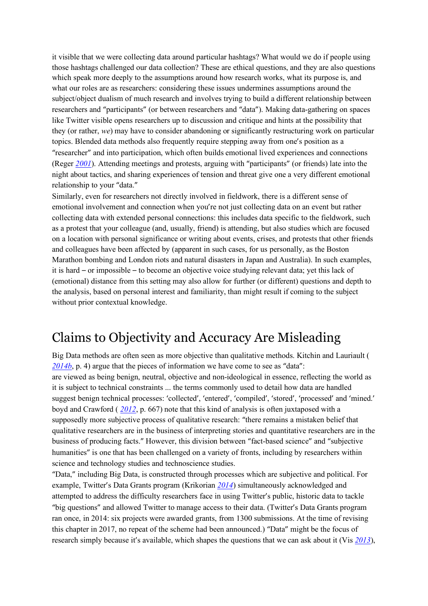it visible that we were collecting data around particular hashtags? What would we do if people using those hashtags challenged our data collection? These are ethical questions, and they are also questions which speak more deeply to the assumptions around how research works, what its purpose is, and what our roles are as researchers: considering these issues undermines assumptions around the subject/object dualism of much research and involves trying to build a different relationship between researchers and "participants" (or between researchers and "data"). Making data-gathering on spaces like Twitter visible opens researchers up to discussion and critique and hints at the possibility that they (or rather, *we*) may have to consider abandoning or significantly restructuring work on particular topics. Blended data methods also frequently require stepping away from one's position as a "researcher" and into participation, which often builds emotional lived experiences and connections (Reger *2001*). Attending meetings and protests, arguing with "participants" (or friends) late into the night about tactics, and sharing experiences of tension and threat give one a very different emotional relationship to your "data."

Similarly, even for researchers not directly involved in fieldwork, there is a different sense of emotional involvement and connection when you're not just collecting data on an event but rather collecting data with extended personal connections: this includes data specific to the fieldwork, such as a protest that your colleague (and, usually, friend) is attending, but also studies which are focused on a location with personal significance or writing about events, crises, and protests that other friends and colleagues have been affected by (apparent in such cases, for us personally, as the Boston Marathon bombing and London riots and natural disasters in Japan and Australia). In such examples, it is hard – or impossible – to become an objective voice studying relevant data; yet this lack of (emotional) distance from this setting may also allow for further (or different) questions and depth to the analysis, based on personal interest and familiarity, than might result if coming to the subject without prior contextual knowledge.

## Claims to Objectivity and Accuracy Are Misleading

Big Data methods are often seen as more objective than qualitative methods. Kitchin and Lauriault ( *2014b*, p. 4) argue that the pieces of information we have come to see as "data": are viewed as being benign, neutral, objective and non-ideological in essence, reflecting the world as it is subject to technical constraints ... the terms commonly used to detail how data are handled suggest benign technical processes: 'collected', 'entered', 'compiled', 'stored', 'processed' and 'mined.' boyd and Crawford ( *2012*, p. 667) note that this kind of analysis is often juxtaposed with a supposedly more subjective process of qualitative research: "there remains a mistaken belief that qualitative researchers are in the business of interpreting stories and quantitative researchers are in the business of producing facts." However, this division between "fact-based science" and "subjective humanities" is one that has been challenged on a variety of fronts, including by researchers within science and technology studies and technoscience studies.

"Data," including Big Data, is constructed through processes which are subjective and political. For example, Twitter's Data Grants program (Krikorian *2014*) simultaneously acknowledged and attempted to address the difficulty researchers face in using Twitter's public, historic data to tackle "big questions" and allowed Twitter to manage access to their data. (Twitter's Data Grants program ran once, in 2014: six projects were awarded grants, from 1300 submissions. At the time of revising this chapter in 2017, no repeat of the scheme had been announced.) "Data" might be the focus of research simply because it's available, which shapes the questions that we can ask about it (Vis *2013*),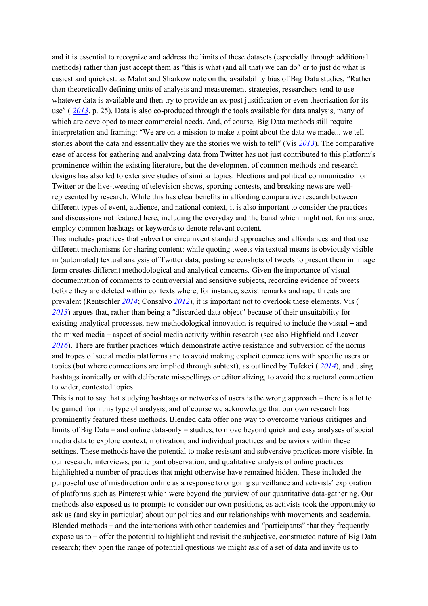and it is essential to recognize and address the limits of these datasets (especially through additional methods) rather than just accept them as "this is what (and all that) we can do" or to just do what is easiest and quickest: as Mahrt and Sharkow note on the availability bias of Big Data studies, "Rather than theoretically defining units of analysis and measurement strategies, researchers tend to use whatever data is available and then try to provide an ex-post justification or even theorization for its use" ( *2013*, p. 25). Data is also co-produced through the tools available for data analysis, many of which are developed to meet commercial needs. And, of course, Big Data methods still require interpretation and framing: "We are on a mission to make a point about the data we made... we tell stories about the data and essentially they are the stories we wish to tell" (Vis *2013*). The comparative ease of access for gathering and analyzing data from Twitter has not just contributed to this platform's prominence within the existing literature, but the development of common methods and research designs has also led to extensive studies of similar topics. Elections and political communication on Twitter or the live-tweeting of television shows, sporting contests, and breaking news are wellrepresented by research. While this has clear benefits in affording comparative research between different types of event, audience, and national context, it is also important to consider the practices and discussions not featured here, including the everyday and the banal which might not, for instance, employ common hashtags or keywords to denote relevant content.

This includes practices that subvert or circumvent standard approaches and affordances and that use different mechanisms for sharing content: while quoting tweets via textual means is obviously visible in (automated) textual analysis of Twitter data, posting screenshots of tweets to present them in image form creates different methodological and analytical concerns. Given the importance of visual documentation of comments to controversial and sensitive subjects, recording evidence of tweets before they are deleted within contexts where, for instance, sexist remarks and rape threats are prevalent (Rentschler *2014*; Consalvo *2012*), it is important not to overlook these elements. Vis ( *2013*) argues that, rather than being a "discarded data object" because of their unsuitability for existing analytical processes, new methodological innovation is required to include the visual – and the mixed media – aspect of social media activity within research (see also Highfield and Leaver *2016*). There are further practices which demonstrate active resistance and subversion of the norms and tropes of social media platforms and to avoid making explicit connections with specific users or topics (but where connections are implied through subtext), as outlined by Tufekci ( *2014*), and using hashtags ironically or with deliberate misspellings or editorializing, to avoid the structural connection to wider, contested topics.

This is not to say that studying hashtags or networks of users is the wrong approach – there is a lot to be gained from this type of analysis, and of course we acknowledge that our own research has prominently featured these methods. Blended data offer one way to overcome various critiques and limits of Big Data – and online data-only – studies, to move beyond quick and easy analyses of social media data to explore context, motivation, and individual practices and behaviors within these settings. These methods have the potential to make resistant and subversive practices more visible. In our research, interviews, participant observation, and qualitative analysis of online practices highlighted a number of practices that might otherwise have remained hidden. These included the purposeful use of misdirection online as a response to ongoing surveillance and activists' exploration of platforms such as Pinterest which were beyond the purview of our quantitative data-gathering. Our methods also exposed us to prompts to consider our own positions, as activists took the opportunity to ask us (and sky in particular) about our politics and our relationships with movements and academia. Blended methods – and the interactions with other academics and "participants" that they frequently expose us to – offer the potential to highlight and revisit the subjective, constructed nature of Big Data research; they open the range of potential questions we might ask of a set of data and invite us to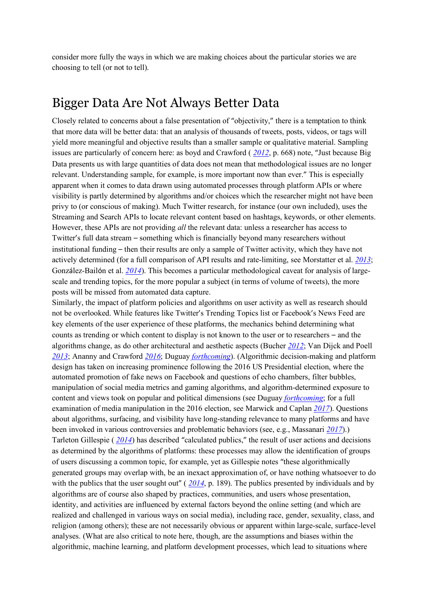consider more fully the ways in which we are making choices about the particular stories we are choosing to tell (or not to tell).

#### Bigger Data Are Not Always Better Data

Closely related to concerns about a false presentation of "objectivity," there is a temptation to think that more data will be better data: that an analysis of thousands of tweets, posts, videos, or tags will yield more meaningful and objective results than a smaller sample or qualitative material. Sampling issues are particularly of concern here: as boyd and Crawford ( *2012*, p. 668) note, "Just because Big Data presents us with large quantities of data does not mean that methodological issues are no longer relevant. Understanding sample, for example, is more important now than ever." This is especially apparent when it comes to data drawn using automated processes through platform APIs or where visibility is partly determined by algorithms and/or choices which the researcher might not have been privy to (or conscious of making). Much Twitter research, for instance (our own included), uses the Streaming and Search APIs to locate relevant content based on hashtags, keywords, or other elements. However, these APIs are not providing *all* the relevant data: unless a researcher has access to Twitter's full data stream – something which is financially beyond many researchers without institutional funding – then their results are only a sample of Twitter activity, which they have not actively determined (for a full comparison of API results and rate-limiting, see Morstatter et al. *2013*; González-Bailón et al. *2014*). This becomes a particular methodological caveat for analysis of largescale and trending topics, for the more popular a subject (in terms of volume of tweets), the more posts will be missed from automated data capture.

Similarly, the impact of platform policies and algorithms on user activity as well as research should not be overlooked. While features like Twitter's Trending Topics list or Facebook's News Feed are key elements of the user experience of these platforms, the mechanics behind determining what counts as trending or which content to display is not known to the user or to researchers – and the algorithms change, as do other architectural and aesthetic aspects (Bucher *2012*; Van Dijck and Poell *2013*; Ananny and Crawford *2016*; Duguay *forthcoming*). (Algorithmic decision-making and platform design has taken on increasing prominence following the 2016 US Presidential election, where the automated promotion of fake news on Facebook and questions of echo chambers, filter bubbles, manipulation of social media metrics and gaming algorithms, and algorithm-determined exposure to content and views took on popular and political dimensions (see Duguay *forthcoming*; for a full examination of media manipulation in the 2016 election, see Marwick and Caplan *2017*). Questions about algorithms, surfacing, and visibility have long-standing relevance to many platforms and have been invoked in various controversies and problematic behaviors (see, e.g., Massanari *2017*).) Tarleton Gillespie ( *2014*) has described "calculated publics," the result of user actions and decisions as determined by the algorithms of platforms: these processes may allow the identification of groups of users discussing a common topic, for example, yet as Gillespie notes "these algorithmically generated groups may overlap with, be an inexact approximation of, or have nothing whatsoever to do with the publics that the user sought out" ( $\frac{2014}{10}$ , p. 189). The publics presented by individuals and by algorithms are of course also shaped by practices, communities, and users whose presentation, identity, and activities are influenced by external factors beyond the online setting (and which are realized and challenged in various ways on social media), including race, gender, sexuality, class, and religion (among others); these are not necessarily obvious or apparent within large-scale, surface-level analyses. (What are also critical to note here, though, are the assumptions and biases within the algorithmic, machine learning, and platform development processes, which lead to situations where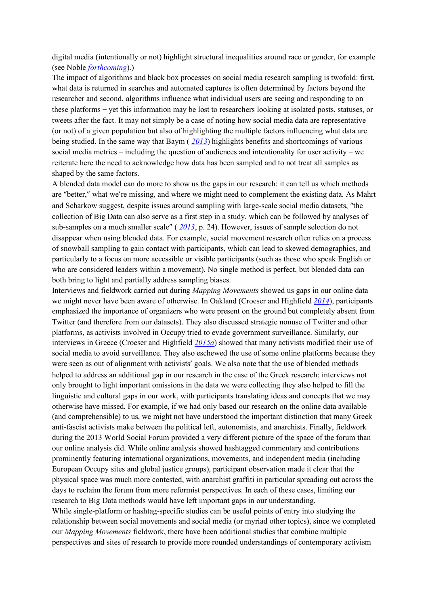digital media (intentionally or not) highlight structural inequalities around race or gender, for example (see Noble *forthcoming*).)

The impact of algorithms and black box processes on social media research sampling is twofold: first, what data is returned in searches and automated captures is often determined by factors beyond the researcher and second, algorithms influence what individual users are seeing and responding to on these platforms – yet this information may be lost to researchers looking at isolated posts, statuses, or tweets after the fact. It may not simply be a case of noting how social media data are representative (or not) of a given population but also of highlighting the multiple factors influencing what data are being studied. In the same way that Baym ( *2013*) highlights benefits and shortcomings of various social media metrics – including the question of audiences and intentionality for user activity – we reiterate here the need to acknowledge how data has been sampled and to not treat all samples as shaped by the same factors.

A blended data model can do more to show us the gaps in our research: it can tell us which methods are "better," what we're missing, and where we might need to complement the existing data. As Mahrt and Scharkow suggest, despite issues around sampling with large-scale social media datasets, "the collection of Big Data can also serve as a first step in a study, which can be followed by analyses of sub-samples on a much smaller scale" ( *2013*, p. 24). However, issues of sample selection do not disappear when using blended data. For example, social movement research often relies on a process of snowball sampling to gain contact with participants, which can lead to skewed demographics, and particularly to a focus on more accessible or visible participants (such as those who speak English or who are considered leaders within a movement). No single method is perfect, but blended data can both bring to light and partially address sampling biases.

Interviews and fieldwork carried out during *Mapping Movements* showed us gaps in our online data we might never have been aware of otherwise. In Oakland (Croeser and Highfield *2014*), participants emphasized the importance of organizers who were present on the ground but completely absent from Twitter (and therefore from our datasets). They also discussed strategic nonuse of Twitter and other platforms, as activists involved in Occupy tried to evade government surveillance. Similarly, our interviews in Greece (Croeser and Highfield *2015a*) showed that many activists modified their use of social media to avoid surveillance. They also eschewed the use of some online platforms because they were seen as out of alignment with activists' goals. We also note that the use of blended methods helped to address an additional gap in our research in the case of the Greek research: interviews not only brought to light important omissions in the data we were collecting they also helped to fill the linguistic and cultural gaps in our work, with participants translating ideas and concepts that we may otherwise have missed. For example, if we had only based our research on the online data available (and comprehensible) to us, we might not have understood the important distinction that many Greek anti-fascist activists make between the political left, autonomists, and anarchists. Finally, fieldwork during the 2013 World Social Forum provided a very different picture of the space of the forum than our online analysis did. While online analysis showed hashtagged commentary and contributions prominently featuring international organizations, movements, and independent media (including European Occupy sites and global justice groups), participant observation made it clear that the physical space was much more contested, with anarchist graffiti in particular spreading out across the days to reclaim the forum from more reformist perspectives. In each of these cases, limiting our research to Big Data methods would have left important gaps in our understanding. While single-platform or hashtag-specific studies can be useful points of entry into studying the relationship between social movements and social media (or myriad other topics), since we completed our *Mapping Movements* fieldwork, there have been additional studies that combine multiple perspectives and sites of research to provide more rounded understandings of contemporary activism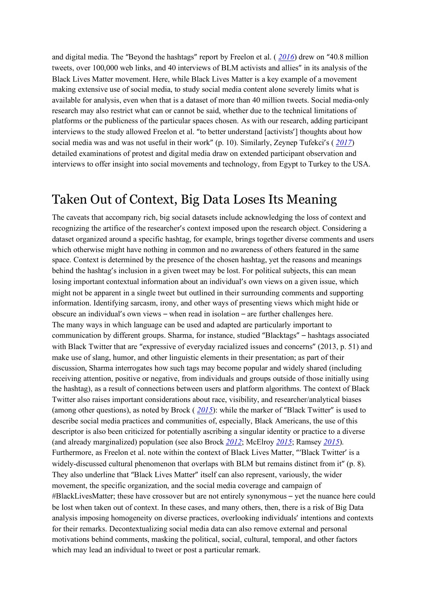and digital media. The "Beyond the hashtags" report by Freelon et al. ( *2016*) drew on "40.8 million tweets, over 100,000 web links, and 40 interviews of BLM activists and allies" in its analysis of the Black Lives Matter movement. Here, while Black Lives Matter is a key example of a movement making extensive use of social media, to study social media content alone severely limits what is available for analysis, even when that is a dataset of more than 40 million tweets. Social media-only research may also restrict what can or cannot be said, whether due to the technical limitations of platforms or the publicness of the particular spaces chosen. As with our research, adding participant interviews to the study allowed Freelon et al. "to better understand [activists'] thoughts about how social media was and was not useful in their work" (p. 10). Similarly, Zeynep Tufekci's ( *2017*) detailed examinations of protest and digital media draw on extended participant observation and interviews to offer insight into social movements and technology, from Egypt to Turkey to the USA.

#### Taken Out of Context, Big Data Loses Its Meaning

The caveats that accompany rich, big social datasets include acknowledging the loss of context and recognizing the artifice of the researcher's context imposed upon the research object. Considering a dataset organized around a specific hashtag, for example, brings together diverse comments and users which otherwise might have nothing in common and no awareness of others featured in the same space. Context is determined by the presence of the chosen hashtag, yet the reasons and meanings behind the hashtag's inclusion in a given tweet may be lost. For political subjects, this can mean losing important contextual information about an individual's own views on a given issue, which might not be apparent in a single tweet but outlined in their surrounding comments and supporting information. Identifying sarcasm, irony, and other ways of presenting views which might hide or obscure an individual's own views – when read in isolation – are further challenges here. The many ways in which language can be used and adapted are particularly important to communication by different groups. Sharma, for instance, studied "Blacktags" – hashtags associated with Black Twitter that are "expressive of everyday racialized issues and concerns" (2013, p. 51) and make use of slang, humor, and other linguistic elements in their presentation; as part of their discussion, Sharma interrogates how such tags may become popular and widely shared (including receiving attention, positive or negative, from individuals and groups outside of those initially using the hashtag), as a result of connections between users and platform algorithms. The context of Black Twitter also raises important considerations about race, visibility, and researcher/analytical biases (among other questions), as noted by Brock ( *2015*): while the marker of "Black Twitter" is used to describe social media practices and communities of, especially, Black Americans, the use of this descriptor is also been criticized for potentially ascribing a singular identity or practice to a diverse (and already marginalized) population (see also Brock *2012*; McElroy *2015*; Ramsey *2015*). Furthermore, as Freelon et al. note within the context of Black Lives Matter, "'Black Twitter' is a widely-discussed cultural phenomenon that overlaps with BLM but remains distinct from it" (p. 8). They also underline that "Black Lives Matter" itself can also represent, variously, the wider movement, the specific organization, and the social media coverage and campaign of #BlackLivesMatter; these have crossover but are not entirely synonymous – yet the nuance here could be lost when taken out of context. In these cases, and many others, then, there is a risk of Big Data analysis imposing homogeneity on diverse practices, overlooking individuals' intentions and contexts for their remarks. Decontextualizing social media data can also remove external and personal motivations behind comments, masking the political, social, cultural, temporal, and other factors which may lead an individual to tweet or post a particular remark.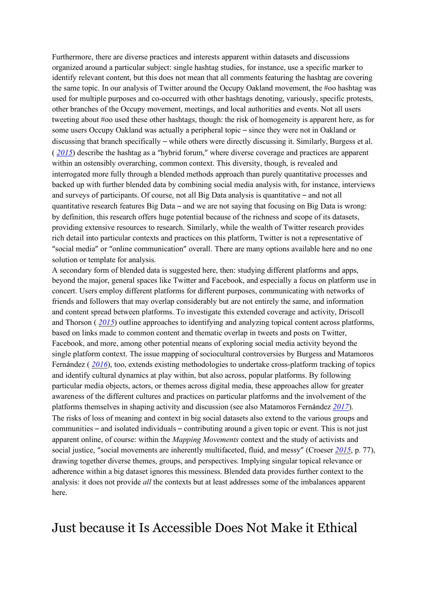Furthermore, there are diverse practices and interests apparent within datasets and discussions organized around a particular subject: single hashtag studies, for instance, use a specific marker to identify relevant content, but this does not mean that all comments featuring the hashtag are covering the same topic. In our analysis of Twitter around the Occupy Oakland movement, the #oo hashtag was used for multiple purposes and co-occurred with other hashtags denoting, variously, specific protests, other branches of the Occupy movement, meetings, and local authorities and events. Not all users tweeting about #oo used these other hashtags, though: the risk of homogeneity is apparent here, as for some users Occupy Oakland was actually a peripheral topic – since they were not in Oakland or discussing that branch specifically – while others were directly discussing it. Similarly, Burgess et al. ( *2015*) describe the hashtag as a "hybrid forum," where diverse coverage and practices are apparent within an ostensibly overarching, common context. This diversity, though, is revealed and interrogated more fully through a blended methods approach than purely quantitative processes and backed up with further blended data by combining social media analysis with, for instance, interviews and surveys of participants. Of course, not all Big Data analysis is quantitative – and not all quantitative research features Big Data – and we are not saying that focusing on Big Data is wrong: by definition, this research offers huge potential because of the richness and scope of its datasets, providing extensive resources to research. Similarly, while the wealth of Twitter research provides rich detail into particular contexts and practices on this platform, Twitter is not a representative of "social media" or "online communication" overall. There are many options available here and no one solution or template for analysis.

A secondary form of blended data is suggested here, then: studying different platforms and apps, beyond the major, general spaces like Twitter and Facebook, and especially a focus on platform use in concert. Users employ different platforms for different purposes, communicating with networks of friends and followers that may overlap considerably but are not entirely the same, and information and content spread between platforms. To investigate this extended coverage and activity, Driscoll and Thorson ( *2015*) outline approaches to identifying and analyzing topical content across platforms, based on links made to common content and thematic overlap in tweets and posts on Twitter, Facebook, and more, among other potential means of exploring social media activity beyond the single platform context. The issue mapping of sociocultural controversies by Burgess and Matamoros Fernández ( *2016*), too, extends existing methodologies to undertake cross-platform tracking of topics and identify cultural dynamics at play within, but also across, popular platforms. By following particular media objects, actors, or themes across digital media, these approaches allow for greater awareness of the different cultures and practices on particular platforms and the involvement of the platforms themselves in shaping activity and discussion (see also Matamoros Fernández *2017*). The risks of loss of meaning and context in big social datasets also extend to the various groups and communities – and isolated individuals – contributing around a given topic or event. This is not just apparent online, of course: within the *Mapping Movements* context and the study of activists and social justice, "social movements are inherently multifaceted, fluid, and messy" (Croeser *2015*, p. 77), drawing together diverse themes, groups, and perspectives. Implying singular topical relevance or adherence within a big dataset ignores this messiness. Blended data provides further context to the analysis: it does not provide *all* the contexts but at least addresses some of the imbalances apparent here.

#### Just because it Is Accessible Does Not Make it Ethical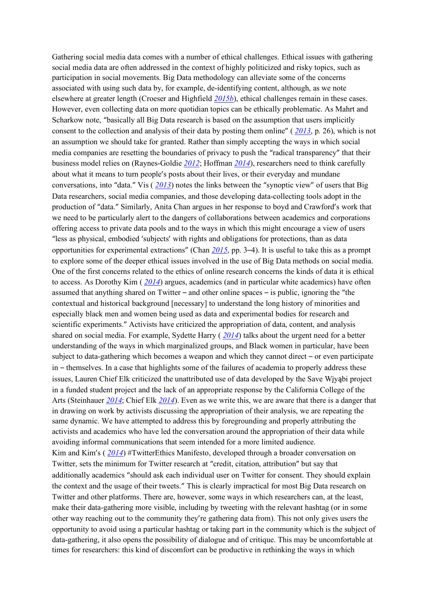Gathering social media data comes with a number of ethical challenges. Ethical issues with gathering social media data are often addressed in the context of highly politicized and risky topics, such as participation in social movements. Big Data methodology can alleviate some of the concerns associated with using such data by, for example, de-identifying content, although, as we note elsewhere at greater length (Croeser and Highfield *2015b*), ethical challenges remain in these cases. However, even collecting data on more quotidian topics can be ethically problematic. As Mahrt and Scharkow note, "basically all Big Data research is based on the assumption that users implicitly consent to the collection and analysis of their data by posting them online" ( *2013*, p. 26), which is not an assumption we should take for granted. Rather than simply accepting the ways in which social media companies are resetting the boundaries of privacy to push the "radical transparency" that their business model relies on (Raynes-Goldie *2012*; Hoffman *2014*), researchers need to think carefully about what it means to turn people's posts about their lives, or their everyday and mundane conversations, into "data." Vis ( *2013*) notes the links between the "synoptic view" of users that Big Data researchers, social media companies, and those developing data-collecting tools adopt in the production of "data." Similarly, Anita Chan argues in her response to boyd and Crawford's work that we need to be particularly alert to the dangers of collaborations between academics and corporations offering access to private data pools and to the ways in which this might encourage a view of users "less as physical, embodied 'subjects' with rights and obligations for protections, than as data opportunities for experimental extractions" (Chan *2015*, pp. 3–4). It is useful to take this as a prompt to explore some of the deeper ethical issues involved in the use of Big Data methods on social media. One of the first concerns related to the ethics of online research concerns the kinds of data it is ethical to access. As Dorothy Kim ( *2014*) argues, academics (and in particular white academics) have often assumed that anything shared on Twitter – and other online spaces – is public, ignoring the "the contextual and historical background [necessary] to understand the long history of minorities and especially black men and women being used as data and experimental bodies for research and scientific experiments." Activists have criticized the appropriation of data, content, and analysis shared on social media. For example, Sydette Harry ( *2014*) talks about the urgent need for a better understanding of the ways in which marginalized groups, and Black women in particular, have been subject to data-gathering which becomes a weapon and which they cannot direct – or even participate in – themselves. In a case that highlights some of the failures of academia to properly address these issues, Lauren Chief Elk criticized the unattributed use of data developed by the Save Wįyąbi project in a funded student project and the lack of an appropriate response by the California College of the Arts (Steinhauer *2014*; Chief Elk *2014*). Even as we write this, we are aware that there is a danger that in drawing on work by activists discussing the appropriation of their analysis, we are repeating the same dynamic. We have attempted to address this by foregrounding and properly attributing the activists and academics who have led the conversation around the appropriation of their data while avoiding informal communications that seem intended for a more limited audience. Kim and Kim's ( *2014*) #TwitterEthics Manifesto, developed through a broader conversation on Twitter, sets the minimum for Twitter research at "credit, citation, attribution" but say that additionally academics "should ask each individual user on Twitter for consent. They should explain the context and the usage of their tweets." This is clearly impractical for most Big Data research on Twitter and other platforms. There are, however, some ways in which researchers can, at the least, make their data-gathering more visible, including by tweeting with the relevant hashtag (or in some other way reaching out to the community they're gathering data from). This not only gives users the opportunity to avoid using a particular hashtag or taking part in the community which is the subject of data-gathering, it also opens the possibility of dialogue and of critique. This may be uncomfortable at times for researchers: this kind of discomfort can be productive in rethinking the ways in which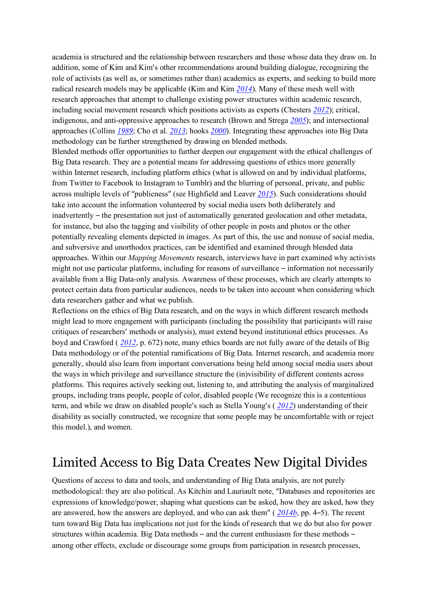academia is structured and the relationship between researchers and those whose data they draw on. In addition, some of Kim and Kim's other recommendations around building dialogue, recognizing the role of activists (as well as, or sometimes rather than) academics as experts, and seeking to build more radical research models may be applicable (Kim and Kim *2014*). Many of these mesh well with research approaches that attempt to challenge existing power structures within academic research, including social movement research which positions activists as experts (Chesters *2012*); critical, indigenous, and anti-oppressive approaches to research (Brown and Strega *2005*); and intersectional approaches (Collins *1989*; Cho et al. *2013*; hooks *2000*). Integrating these approaches into Big Data methodology can be further strengthened by drawing on blended methods.

Blended methods offer opportunities to further deepen our engagement with the ethical challenges of Big Data research. They are a potential means for addressing questions of ethics more generally within Internet research, including platform ethics (what is allowed on and by individual platforms, from Twitter to Facebook to Instagram to Tumblr) and the blurring of personal, private, and public across multiple levels of "publicness" (see Highfield and Leaver *2015*). Such considerations should take into account the information volunteered by social media users both deliberately and inadvertently – the presentation not just of automatically generated geolocation and other metadata, for instance, but also the tagging and visibility of other people in posts and photos or the other potentially revealing elements depicted in images. As part of this, the use and nonuse of social media, and subversive and unorthodox practices, can be identified and examined through blended data approaches. Within our *Mapping Movements* research, interviews have in part examined why activists might not use particular platforms, including for reasons of surveillance – information not necessarily available from a Big Data-only analysis. Awareness of these processes, which are clearly attempts to protect certain data from particular audiences, needs to be taken into account when considering which data researchers gather and what we publish.

Reflections on the ethics of Big Data research, and on the ways in which different research methods might lead to more engagement with participants (including the possibility that participants will raise critiques of researchers' methods or analysis), must extend beyond institutional ethics processes. As boyd and Crawford ( *2012*, p. 672) note, many ethics boards are not fully aware of the details of Big Data methodology or of the potential ramifications of Big Data. Internet research, and academia more generally, should also learn from important conversations being held among social media users about the ways in which privilege and surveillance structure the (in)visibility of different contents across platforms. This requires actively seeking out, listening to, and attributing the analysis of marginalized groups, including trans people, people of color, disabled people (We recognize this is a contentious term, and while we draw on disabled people's such as Stella Young's ( *2012*) understanding of their disability as socially constructed, we recognize that some people may be uncomfortable with or reject this model.), and women.

#### Limited Access to Big Data Creates New Digital Divides

Questions of access to data and tools, and understanding of Big Data analysis, are not purely methodological: they are also political. As Kitchin and Lauriault note, "Databases and repositories are expressions of knowledge/power, shaping what questions can be asked, how they are asked, how they are answered, how the answers are deployed, and who can ask them" ( *2014b*, pp. 4–5). The recent turn toward Big Data has implications not just for the kinds of research that we do but also for power structures within academia. Big Data methods – and the current enthusiasm for these methods – among other effects, exclude or discourage some groups from participation in research processes,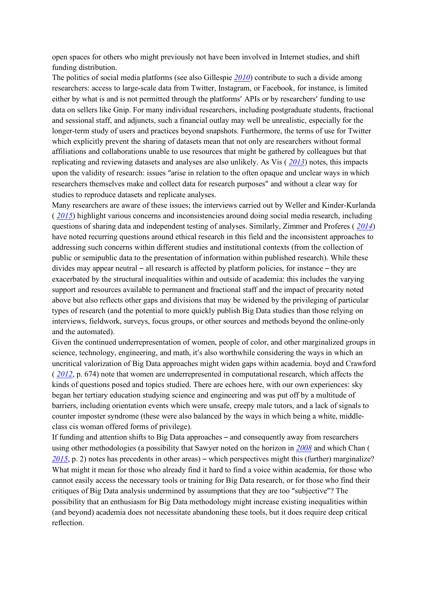open spaces for others who might previously not have been involved in Internet studies, and shift funding distribution.

The politics of social media platforms (see also Gillespie *2010*) contribute to such a divide among researchers: access to large-scale data from Twitter, Instagram, or Facebook, for instance, is limited either by what is and is not permitted through the platforms' APIs or by researchers' funding to use data on sellers like Gnip. For many individual researchers, including postgraduate students, fractional and sessional staff, and adjuncts, such a financial outlay may well be unrealistic, especially for the longer-term study of users and practices beyond snapshots. Furthermore, the terms of use for Twitter which explicitly prevent the sharing of datasets mean that not only are researchers without formal affiliations and collaborations unable to use resources that might be gathered by colleagues but that replicating and reviewing datasets and analyses are also unlikely. As Vis ( *2013*) notes, this impacts upon the validity of research: issues "arise in relation to the often opaque and unclear ways in which researchers themselves make and collect data for research purposes" and without a clear way for studies to reproduce datasets and replicate analyses.

Many researchers are aware of these issues; the interviews carried out by Weller and Kinder-Kurlanda ( *2015*) highlight various concerns and inconsistencies around doing social media research, including questions of sharing data and independent testing of analyses. Similarly, Zimmer and Proferes ( *2014*) have noted recurring questions around ethical research in this field and the inconsistent approaches to addressing such concerns within different studies and institutional contexts (from the collection of public or semipublic data to the presentation of information within published research). While these divides may appear neutral – all research is affected by platform policies, for instance – they are exacerbated by the structural inequalities within and outside of academia: this includes the varying support and resources available to permanent and fractional staff and the impact of precarity noted above but also reflects other gaps and divisions that may be widened by the privileging of particular types of research (and the potential to more quickly publish Big Data studies than those relying on interviews, fieldwork, surveys, focus groups, or other sources and methods beyond the online-only and the automated).

Given the continued underrepresentation of women, people of color, and other marginalized groups in science, technology, engineering, and math, it's also worthwhile considering the ways in which an uncritical valorization of Big Data approaches might widen gaps within academia. boyd and Crawford ( *2012*, p. 674) note that women are underrepresented in computational research, which affects the kinds of questions posed and topics studied. There are echoes here, with our own experiences: sky began her tertiary education studying science and engineering and was put off by a multitude of barriers, including orientation events which were unsafe, creepy male tutors, and a lack of signals to counter imposter syndrome (these were also balanced by the ways in which being a white, middleclass cis woman offered forms of privilege).

If funding and attention shifts to Big Data approaches – and consequently away from researchers using other methodologies (a possibility that Sawyer noted on the horizon in *2008* and which Chan ( *2015*, p. 2) notes has precedents in other areas) – which perspectives might this (further) marginalize? What might it mean for those who already find it hard to find a voice within academia, for those who cannot easily access the necessary tools or training for Big Data research, or for those who find their critiques of Big Data analysis undermined by assumptions that they are too "subjective"? The possibility that an enthusiasm for Big Data methodology might increase existing inequalities within (and beyond) academia does not necessitate abandoning these tools, but it does require deep critical reflection.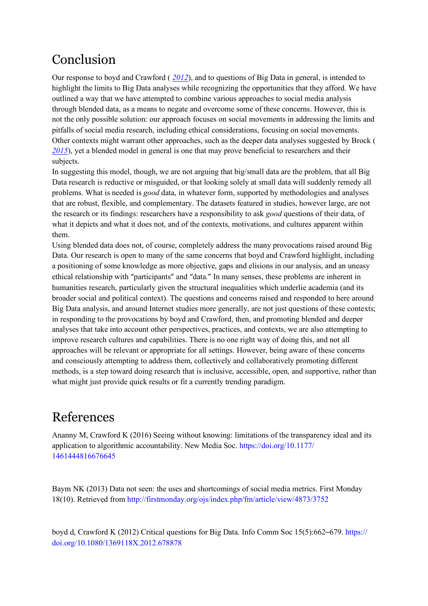## Conclusion

Our response to boyd and Crawford ( *2012*), and to questions of Big Data in general, is intended to highlight the limits to Big Data analyses while recognizing the opportunities that they afford. We have outlined a way that we have attempted to combine various approaches to social media analysis through blended data, as a means to negate and overcome some of these concerns. However, this is not the only possible solution: our approach focuses on social movements in addressing the limits and pitfalls of social media research, including ethical considerations, focusing on social movements. Other contexts might warrant other approaches, such as the deeper data analyses suggested by Brock ( *2015*), yet a blended model in general is one that may prove beneficial to researchers and their subjects.

In suggesting this model, though, we are not arguing that big/small data are the problem, that all Big Data research is reductive or misguided, or that looking solely at small data will suddenly remedy all problems. What is needed is *good* data, in whatever form, supported by methodologies and analyses that are robust, flexible, and complementary. The datasets featured in studies, however large, are not the research or its findings: researchers have a responsibility to ask *good* questions of their data, of what it depicts and what it does not, and of the contexts, motivations, and cultures apparent within them.

Using blended data does not, of course, completely address the many provocations raised around Big Data. Our research is open to many of the same concerns that boyd and Crawford highlight, including a positioning of some knowledge as more objective, gaps and elisions in our analysis, and an uneasy ethical relationship with "participants" and "data." In many senses, these problems are inherent in humanities research, particularly given the structural inequalities which underlie academia (and its broader social and political context). The questions and concerns raised and responded to here around Big Data analysis, and around Internet studies more generally, are not just questions of these contexts; in responding to the provocations by boyd and Crawford, then, and promoting blended and deeper analyses that take into account other perspectives, practices, and contexts, we are also attempting to improve research cultures and capabilities. There is no one right way of doing this, and not all approaches will be relevant or appropriate for all settings. However, being aware of these concerns and consciously attempting to address them, collectively and collaboratively promoting different methods, is a step toward doing research that is inclusive, accessible, open, and supportive, rather than what might just provide quick results or fit a currently trending paradigm.

#### References

Ananny M, Crawford K (2016) Seeing without knowing: limitations of the transparency ideal and its application to algorithmic accountability. New Media Soc. https://doi.org/10.1177/ 1461444816676645

Baym NK (2013) Data not seen: the uses and shortcomings of social media metrics. First Monday 18(10). Retrieved from http://firstmonday.org/ojs/index.php/fm/article/view/4873/3752

boyd d, Crawford K (2012) Critical questions for Big Data. Info Comm Soc 15(5):662–679. https:// doi.org/10.1080/1369118X.2012.678878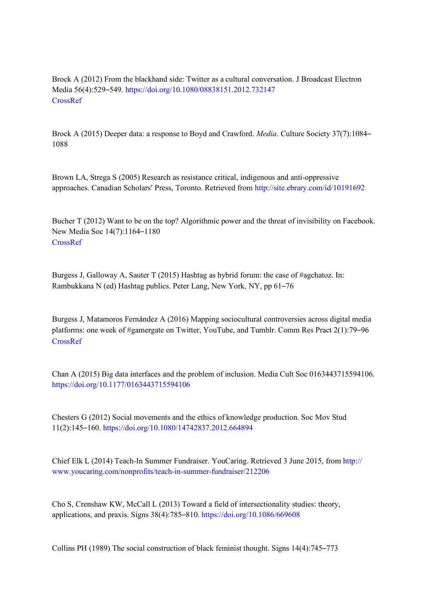Brock A (2012) From the blackhand side: Twitter as a cultural conversation. J Broadcast Electron Media 56(4):529–549. https://doi.org/10.1080/08838151.2012.732147 CrossRef

Brock A (2015) Deeper data: a response to Boyd and Crawford. *Media*. Culture Society 37(7):1084– 1088

Brown LA, Strega S (2005) Research as resistance critical, indigenous and anti-oppressive approaches. Canadian Scholars' Press, Toronto. Retrieved from http://site.ebrary.com/id/10191692

Bucher T (2012) Want to be on the top? Algorithmic power and the threat of invisibility on Facebook. New Media Soc 14(7):1164–1180 CrossRef

Burgess J, Galloway A, Sauter T (2015) Hashtag as hybrid forum: the case of #agchatoz. In: Rambukkana N (ed) Hashtag publics. Peter Lang, New York, NY, pp 61–76

Burgess J, Matamoros Fernández A (2016) Mapping sociocultural controversies across digital media platforms: one week of #gamergate on Twitter, YouTube, and Tumblr. Comm Res Pract 2(1):79–96 CrossRef

Chan A (2015) Big data interfaces and the problem of inclusion. Media Cult Soc 0163443715594106. https://doi.org/10.1177/0163443715594106

Chesters G (2012) Social movements and the ethics of knowledge production. Soc Mov Stud 11(2):145–160. https://doi.org/10.1080/14742837.2012.664894

Chief Elk L (2014) Teach-In Summer Fundraiser. YouCaring. Retrieved 3 June 2015, from http:// www.youcaring.com/nonprofits/teach-in-summer-fundraiser/212206

Cho S, Crenshaw KW, McCall L (2013) Toward a field of intersectionality studies: theory, applications, and praxis. Signs 38(4):785–810. https://doi.org/10.1086/669608

Collins PH (1989) The social construction of black feminist thought. Signs 14(4):745–773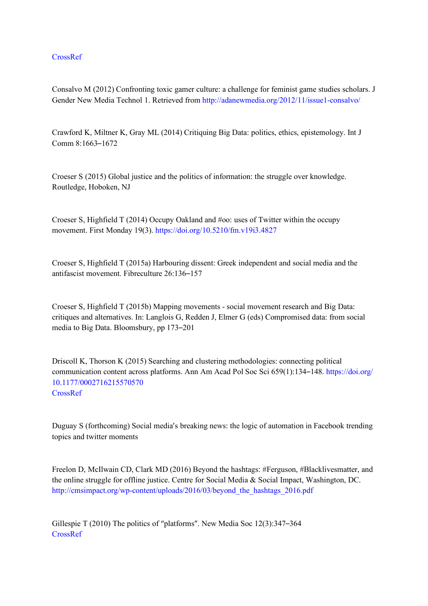#### CrossRef

Consalvo M (2012) Confronting toxic gamer culture: a challenge for feminist game studies scholars. J Gender New Media Technol 1. Retrieved from http://adanewmedia.org/2012/11/issue1-consalvo/

Crawford K, Miltner K, Gray ML (2014) Critiquing Big Data: politics, ethics, epistemology. Int J Comm 8:1663–1672

Croeser S (2015) Global justice and the politics of information: the struggle over knowledge. Routledge, Hoboken, NJ

Croeser S, Highfield T (2014) Occupy Oakland and #oo: uses of Twitter within the occupy movement. First Monday 19(3). https://doi.org/10.5210/fm.v19i3.4827

Croeser S, Highfield T (2015a) Harbouring dissent: Greek independent and social media and the antifascist movement. Fibreculture 26:136–157

Croeser S, Highfield T (2015b) Mapping movements - social movement research and Big Data: critiques and alternatives. In: Langlois G, Redden J, Elmer G (eds) Compromised data: from social media to Big Data. Bloomsbury, pp 173–201

Driscoll K, Thorson K (2015) Searching and clustering methodologies: connecting political communication content across platforms. Ann Am Acad Pol Soc Sci 659(1):134–148. https://doi.org/ 10.1177/0002716215570570 CrossRef

Duguay S (forthcoming) Social media's breaking news: the logic of automation in Facebook trending topics and twitter moments

Freelon D, McIlwain CD, Clark MD (2016) Beyond the hashtags: #Ferguson, #Blacklivesmatter, and the online struggle for offline justice. Centre for Social Media & Social Impact, Washington, DC. http://cmsimpact.org/wp-content/uploads/2016/03/beyond\_the\_hashtags\_2016.pdf

Gillespie T (2010) The politics of "platforms". New Media Soc 12(3):347–364 CrossRef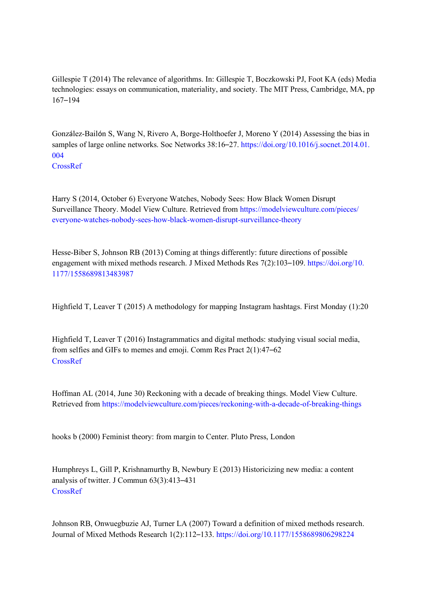Gillespie T (2014) The relevance of algorithms. In: Gillespie T, Boczkowski PJ, Foot KA (eds) Media technologies: essays on communication, materiality, and society. The MIT Press, Cambridge, MA, pp 167–194

González-Bailón S, Wang N, Rivero A, Borge-Holthoefer J, Moreno Y (2014) Assessing the bias in samples of large online networks. Soc Networks 38:16–27. https://doi.org/10.1016/j.socnet.2014.01. 004 CrossRef

Harry S (2014, October 6) Everyone Watches, Nobody Sees: How Black Women Disrupt Surveillance Theory. Model View Culture. Retrieved from https://modelviewculture.com/pieces/ everyone-watches-nobody-sees-how-black-women-disrupt-surveillance-theory

Hesse-Biber S, Johnson RB (2013) Coming at things differently: future directions of possible engagement with mixed methods research. J Mixed Methods Res 7(2):103–109. https://doi.org/10. 1177/1558689813483987

Highfield T, Leaver T (2015) A methodology for mapping Instagram hashtags. First Monday (1):20

Highfield T, Leaver T (2016) Instagrammatics and digital methods: studying visual social media, from selfies and GIFs to memes and emoji. Comm Res Pract 2(1):47–62 CrossRef

Hoffman AL (2014, June 30) Reckoning with a decade of breaking things. Model View Culture. Retrieved from https://modelviewculture.com/pieces/reckoning-with-a-decade-of-breaking-things

hooks b (2000) Feminist theory: from margin to Center. Pluto Press, London

Humphreys L, Gill P, Krishnamurthy B, Newbury E (2013) Historicizing new media: a content analysis of twitter. J Commun 63(3):413–431 CrossRef

Johnson RB, Onwuegbuzie AJ, Turner LA (2007) Toward a definition of mixed methods research. Journal of Mixed Methods Research 1(2):112–133. https://doi.org/10.1177/1558689806298224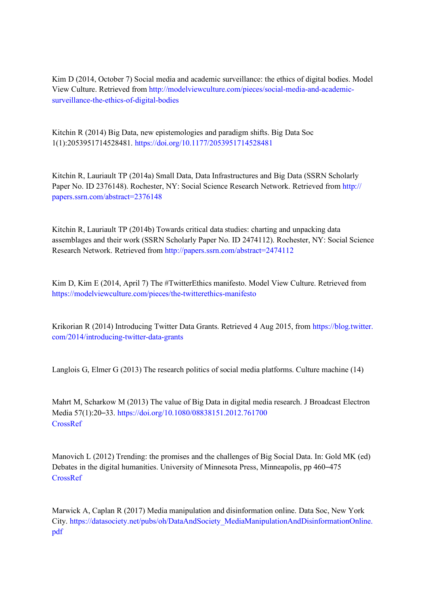Kim D (2014, October 7) Social media and academic surveillance: the ethics of digital bodies. Model View Culture. Retrieved from http://modelviewculture.com/pieces/social-media-and-academicsurveillance-the-ethics-of-digital-bodies

Kitchin R (2014) Big Data, new epistemologies and paradigm shifts. Big Data Soc 1(1):2053951714528481. https://doi.org/10.1177/2053951714528481

Kitchin R, Lauriault TP (2014a) Small Data, Data Infrastructures and Big Data (SSRN Scholarly Paper No. ID 2376148). Rochester, NY: Social Science Research Network. Retrieved from http:// papers.ssrn.com/abstract=2376148

Kitchin R, Lauriault TP (2014b) Towards critical data studies: charting and unpacking data assemblages and their work (SSRN Scholarly Paper No. ID 2474112). Rochester, NY: Social Science Research Network. Retrieved from http://papers.ssrn.com/abstract=2474112

Kim D, Kim E (2014, April 7) The #TwitterEthics manifesto. Model View Culture. Retrieved from https://modelviewculture.com/pieces/the-twitterethics-manifesto

Krikorian R (2014) Introducing Twitter Data Grants. Retrieved 4 Aug 2015, from https://blog.twitter. com/2014/introducing-twitter-data-grants

Langlois G, Elmer G (2013) The research politics of social media platforms. Culture machine (14)

Mahrt M, Scharkow M (2013) The value of Big Data in digital media research. J Broadcast Electron Media 57(1):20–33. https://doi.org/10.1080/08838151.2012.761700 CrossRef

Manovich L (2012) Trending: the promises and the challenges of Big Social Data. In: Gold MK (ed) Debates in the digital humanities. University of Minnesota Press, Minneapolis, pp 460–475 CrossRef

Marwick A, Caplan R (2017) Media manipulation and disinformation online. Data Soc, New York City. https://datasociety.net/pubs/oh/DataAndSociety\_MediaManipulationAndDisinformationOnline. pdf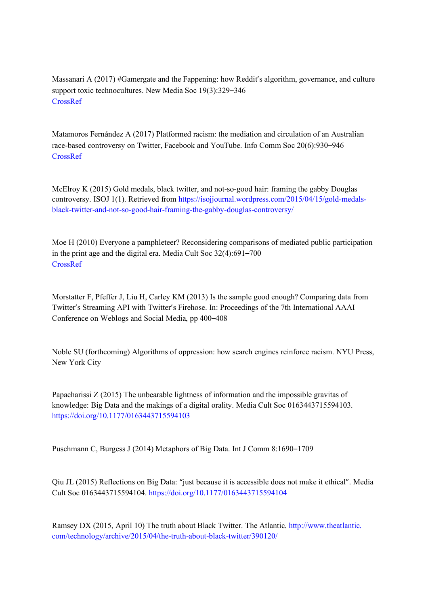Massanari A (2017) #Gamergate and the Fappening: how Reddit's algorithm, governance, and culture support toxic technocultures. New Media Soc 19(3):329–346 CrossRef

Matamoros Fernández A (2017) Platformed racism: the mediation and circulation of an Australian race-based controversy on Twitter, Facebook and YouTube. Info Comm Soc 20(6):930–946 CrossRef

McElroy K (2015) Gold medals, black twitter, and not-so-good hair: framing the gabby Douglas controversy. ISOJ 1(1). Retrieved from https://isojjournal.wordpress.com/2015/04/15/gold-medalsblack-twitter-and-not-so-good-hair-framing-the-gabby-douglas-controversy/

Moe H (2010) Everyone a pamphleteer? Reconsidering comparisons of mediated public participation in the print age and the digital era. Media Cult Soc 32(4):691–700 CrossRef

Morstatter F, Pfeffer J, Liu H, Carley KM (2013) Is the sample good enough? Comparing data from Twitter's Streaming API with Twitter's Firehose. In: Proceedings of the 7th International AAAI Conference on Weblogs and Social Media, pp 400–408

Noble SU (forthcoming) Algorithms of oppression: how search engines reinforce racism. NYU Press, New York City

Papacharissi Z (2015) The unbearable lightness of information and the impossible gravitas of knowledge: Big Data and the makings of a digital orality. Media Cult Soc 0163443715594103. https://doi.org/10.1177/0163443715594103

Puschmann C, Burgess J (2014) Metaphors of Big Data. Int J Comm 8:1690–1709

Qiu JL (2015) Reflections on Big Data: "just because it is accessible does not make it ethical". Media Cult Soc 0163443715594104. https://doi.org/10.1177/0163443715594104

Ramsey DX (2015, April 10) The truth about Black Twitter. The Atlantic. http://www.theatlantic. com/technology/archive/2015/04/the-truth-about-black-twitter/390120/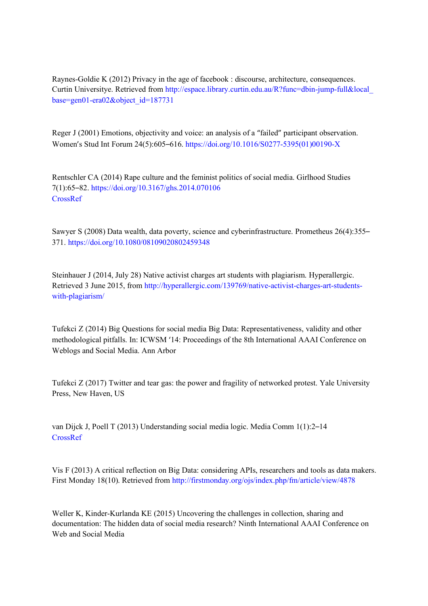Raynes-Goldie K (2012) Privacy in the age of facebook : discourse, architecture, consequences. Curtin Universitye. Retrieved from http://espace.library.curtin.edu.au/R?func=dbin-jump-full&local\_ base=gen01-era02&object\_id=187731

Reger J (2001) Emotions, objectivity and voice: an analysis of a "failed" participant observation. Women's Stud Int Forum 24(5):605–616. https://doi.org/10.1016/S0277-5395(01)00190-X

Rentschler CA (2014) Rape culture and the feminist politics of social media. Girlhood Studies 7(1):65–82. https://doi.org/10.3167/ghs.2014.070106 CrossRef

Sawyer S (2008) Data wealth, data poverty, science and cyberinfrastructure. Prometheus 26(4):355– 371. https://doi.org/10.1080/08109020802459348

Steinhauer J (2014, July 28) Native activist charges art students with plagiarism. Hyperallergic. Retrieved 3 June 2015, from http://hyperallergic.com/139769/native-activist-charges-art-studentswith-plagiarism/

Tufekci Z (2014) Big Questions for social media Big Data: Representativeness, validity and other methodological pitfalls. In: ICWSM '14: Proceedings of the 8th International AAAI Conference on Weblogs and Social Media. Ann Arbor

Tufekci Z (2017) Twitter and tear gas: the power and fragility of networked protest. Yale University Press, New Haven, US

van Dijck J, Poell T (2013) Understanding social media logic. Media Comm 1(1):2–14 CrossRef

Vis F (2013) A critical reflection on Big Data: considering APIs, researchers and tools as data makers. First Monday 18(10). Retrieved from http://firstmonday.org/ojs/index.php/fm/article/view/4878

Weller K, Kinder-Kurlanda KE (2015) Uncovering the challenges in collection, sharing and documentation: The hidden data of social media research? Ninth International AAAI Conference on Web and Social Media